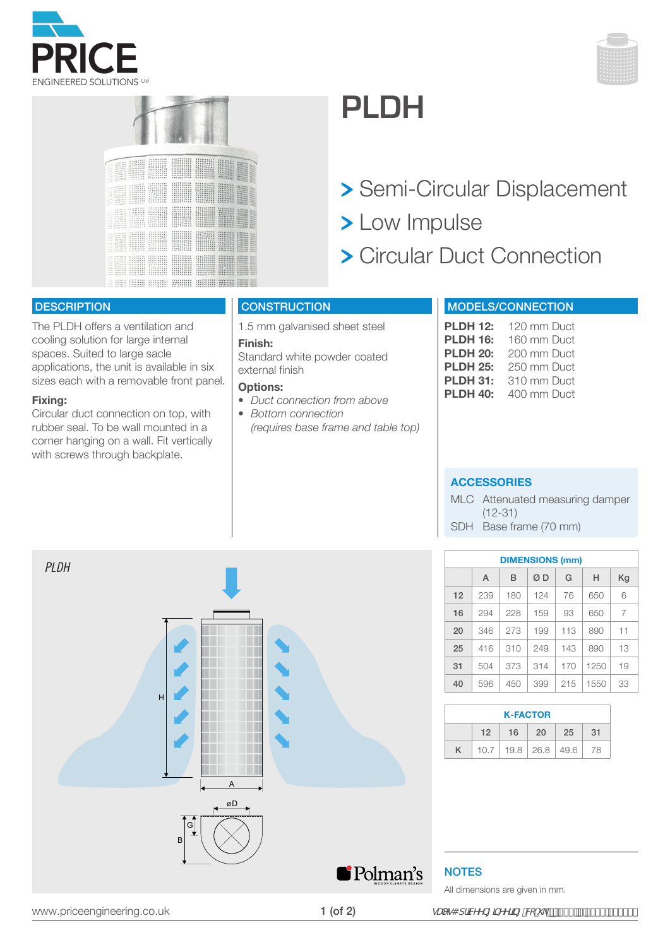





# **PLDH**

- > Semi-Circular Displacement
- > Low Impulse
- Circular Duct Connection

### **DESCRIPTION**

The PLDH offers a ventilation and cooling solution for large internal spaces. Suited to large sacle applications, the unit is available in six sizes each with a removable front panel.

#### **Fixing:**

Circular duct connection on top, with rubber seal. To be wall mounted in a corner hanging on a wall. Fit vertically with screws through backplate.

## **CONSTRUCTION**

1.5 mm galvanised sheet steel

#### **Finish:**

Standard white powder coated external finish

#### **Options:**

- *• Duct connection from above*
- *Bottom connection (requires base frame and table top)*

### MODELS/CONNECTION

| <b>PLDH 12:</b> | 120 mm Duct |
|-----------------|-------------|
| <b>PLDH 16:</b> | 160 mm Duct |
| <b>PLDH 20:</b> | 200 mm Duct |
| <b>PLDH 25:</b> | 250 mm Duct |
| <b>PLDH 31:</b> | 310 mm Duct |
| <b>PLDH 40:</b> | 400 mm Duct |

### **ACCESSORIES**

MLC Attenuated measuring damper (12-31) SDH Base frame (70 mm)

| <b>DIMENSIONS (mm)</b> |     |     |     |     |      |    |  |  |
|------------------------|-----|-----|-----|-----|------|----|--|--|
|                        | A   | в   | ØD  | G   | Н    | Kg |  |  |
| 12                     | 239 | 180 | 124 | 76  | 650  | 6  |  |  |
| 16                     | 294 | 228 | 159 | 93  | 650  | 7  |  |  |
| 20                     | 346 | 273 | 199 | 113 | 890  | 11 |  |  |
| 25                     | 416 | 310 | 249 | 143 | 890  | 13 |  |  |
| 31                     | 504 | 373 | 314 | 170 | 1250 | 19 |  |  |
| 40                     | 596 | 450 | 399 | 215 | 1550 | 33 |  |  |
|                        |     |     |     |     |      |    |  |  |
| <b>K-FACTOR</b>        |     |     |     |     |      |    |  |  |

| <b>K-FACTOR</b> |    |      |     |                                  |     |  |  |  |  |
|-----------------|----|------|-----|----------------------------------|-----|--|--|--|--|
|                 | 12 | - 16 | -20 | 25 <sup>7</sup>                  | -31 |  |  |  |  |
|                 |    |      |     | $10.7$   19.8   26.8   49.6   78 |     |  |  |  |  |

# **NOTES**

All dimensions are given in mm.